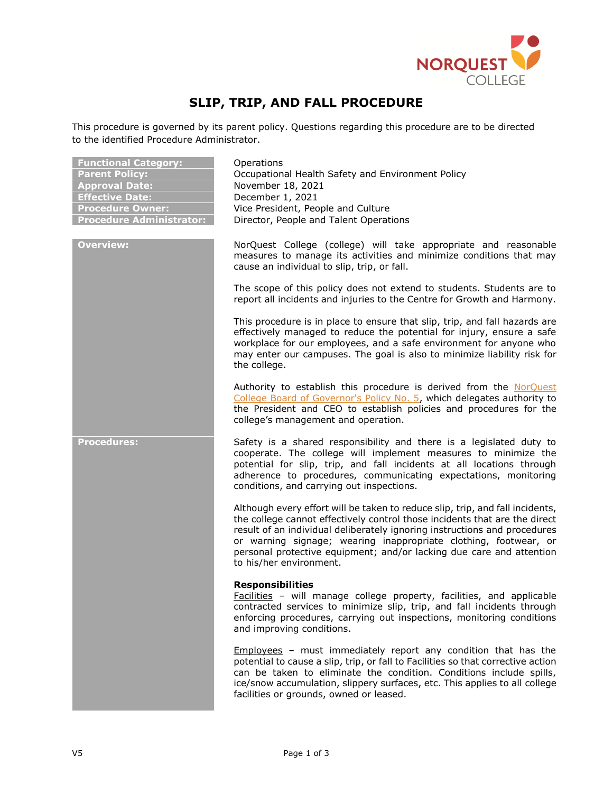

# **SLIP, TRIP, AND FALL PROCEDURE**

This procedure is governed by its parent policy. Questions regarding this procedure are to be directed to the identified Procedure Administrator.

| <b>Functional Category:</b>     |
|---------------------------------|
| <b>Parent Policy:</b>           |
| <b>Approval Date:</b>           |
| <b>Effective Date:</b>          |
| <b>Procedure Owner:</b>         |
| <b>Procedure Administrator:</b> |

**Functional Category:** Operations **Parent Policy:** Occupational Health Safety and Environment Policy **Approval Date:** November 18, 2021 **Effective Date:** December 1, 2021 Vice President, People and Culture **Pirector, People and Talent Operations** 

**Overview:** NorQuest College (college) will take appropriate and reasonable measures to manage its activities and minimize conditions that may cause an individual to slip, trip, or fall.

> The scope of this policy does not extend to students. Students are to report all incidents and injuries to the Centre for Growth and Harmony.

> This procedure is in place to ensure that slip, trip, and fall hazards are effectively managed to reduce the potential for injury, ensure a safe workplace for our employees, and a safe environment for anyone who may enter our campuses. The goal is also to minimize liability risk for the college.

> Authority to establish this procedure is derived from the [NorQuest](https://www.norquest.ca/NorquestCollege/media/pdf/about-us/board/policies-procedures/05-Board-Policy_Delegate_authority_to_President.pdf)  [College Board of Governor's Policy No. 5,](https://www.norquest.ca/NorquestCollege/media/pdf/about-us/board/policies-procedures/05-Board-Policy_Delegate_authority_to_President.pdf) which delegates authority to the President and CEO to establish policies and procedures for the college's management and operation.

**Procedures:** Safety is a shared responsibility and there is a legislated duty to cooperate. The college will implement measures to minimize the potential for slip, trip, and fall incidents at all locations through adherence to procedures, communicating expectations, monitoring conditions, and carrying out inspections.

> Although every effort will be taken to reduce slip, trip, and fall incidents, the college cannot effectively control those incidents that are the direct result of an individual deliberately ignoring instructions and procedures or warning signage; wearing inappropriate clothing, footwear, or personal protective equipment; and/or lacking due care and attention to his/her environment.

#### **Responsibilities**

Facilities – will manage college property, facilities, and applicable contracted services to minimize slip, trip, and fall incidents through enforcing procedures, carrying out inspections, monitoring conditions and improving conditions.

Employees – must immediately report any condition that has the potential to cause a slip, trip, or fall to Facilities so that corrective action can be taken to eliminate the condition. Conditions include spills, ice/snow accumulation, slippery surfaces, etc. This applies to all college facilities or grounds, owned or leased.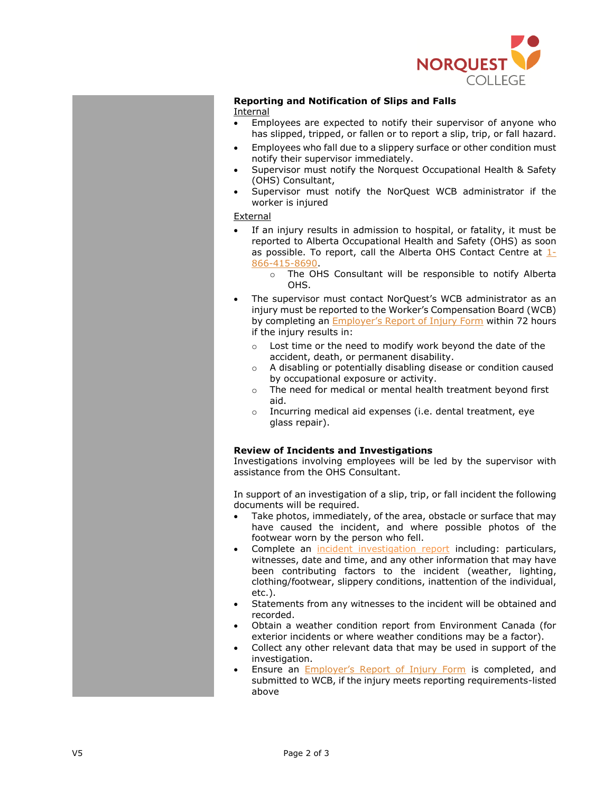

#### **Reporting and Notification of Slips and Falls** Internal

- Employees are expected to notify their supervisor of anyone who has slipped, tripped, or fallen or to report a slip, trip, or fall hazard.
- Employees who fall due to a slippery surface or other condition must notify their supervisor immediately.
- Supervisor must notify the Norquest Occupational Health & Safety (OHS) Consultant,
- Supervisor must notify the NorQuest WCB administrator if the worker is injured

### External

- If an injury results in admission to hospital, or fatality, it must be reported to Alberta Occupational Health and Safety (OHS) as soon as possible. To report, call the Alberta OHS Contact Centre at  $1$ -[866-415-8690.](tel:+18664158690)
	- o The OHS Consultant will be responsible to notify Alberta OHS.
- The supervisor must contact NorQuest's WCB administrator as an injury must be reported to the Worker's Compensation Board (WCB) by completing an Employer['s Report of](https://www.wcb.ab.ca/assets/pdfs/employers/c040_instn.pdf) Injury Form within 72 hours if the injury results in:
	- Lost time or the need to modify work beyond the date of the accident, death, or permanent disability.
	- o A disabling or potentially disabling disease or condition caused by occupational exposure or activity.
	- o The need for medical or mental health treatment beyond first aid.
	- o Incurring medical aid expenses (i.e. dental treatment, eye glass repair).

## **Review of Incidents and Investigations**

Investigations involving employees will be led by the supervisor with assistance from the OHS Consultant.

In support of an investigation of a slip, trip, or fall incident the following documents will be required.

- Take photos, immediately, of the area, obstacle or surface that may have caused the incident, and where possible photos of the footwear worn by the person who fell.
- Complete an [incident investigation report](https://theq.norquest.ca/getattachment/Departments/Policies-and-Regulatory-Compliance/Public-Wiki/Occupational-Health-and-Safety-Toolkit/Incident-Investigation-Form-V2.docx.aspx?lang=en-US) including: particulars, witnesses, date and time, and any other information that may have been contributing factors to the incident (weather, lighting, clothing/footwear, slippery conditions, inattention of the individual, etc.).
- Statements from any witnesses to the incident will be obtained and recorded.
- Obtain a weather condition report from Environment Canada (for exterior incidents or where weather conditions may be a factor).
- Collect any other relevant data that may be used in support of the investigation.
- Ensure an **[Employer's Report of Injury Form](https://www.wcb.ab.ca/assets/pdfs/employers/c040_instn.pdf)** is completed, and submitted to WCB, if the injury meets reporting requirements-listed above